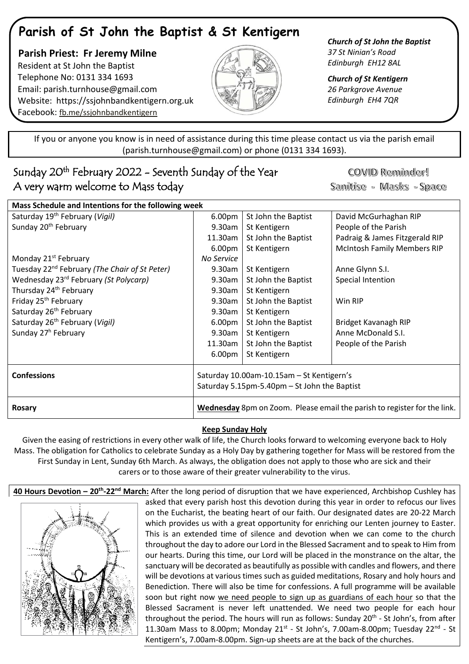# **Parish of St John the Baptist & St Kentigern**

 **Parish Priest: Fr Jeremy Milne** Resident at St John the Baptist Telephone No: 0131 334 1693 Email: [parish.turnhouse@gmail.com](mailto:parish.turnhouse@gmail.com)  Website: [https://ssjohnbandkentigern.org.uk](https://ssjohnbandkentigern.org.uk/) Facebook: [fb.me/ssjohnbandkentigern](https://fb.me/ssjohnbandkentigern)



*Church of St John the Baptist 37 St Ninian's Road Edinburgh EH12 8AL*

*Church of St Kentigern 26 Parkgrove Avenue Edinburgh EH4 7QR*

֡֡֡֡֡ If you or anyone you know is in need of assistance during this time please contact us via the parish email (parish.turnhouse@gmail.com) or phone (0131 334 1693).

## ׇ֚֞֘ Sunday 20th February 2022 - Seventh Sunday of the Year A very warm welcome to Mass today

COVID Reminder! Sanitise - Masks - Space

| Saturday 19 <sup>th</sup> February (Vigil)<br>6.00pm<br>St John the Baptist<br>David McGurhaghan RIP<br>Sunday 20 <sup>th</sup> February<br>People of the Parish<br>9.30am<br>St Kentigern<br>Padraig & James Fitzgerald RIP<br>11.30am<br>St John the Baptist<br><b>McIntosh Family Members RIP</b><br>6.00pm<br>St Kentigern<br>Monday 21 <sup>st</sup> February<br>No Service<br>Tuesday 22 <sup>nd</sup> February (The Chair of St Peter)<br>9.30am<br>St Kentigern<br>Anne Glynn S.I.<br>Wednesday 23 <sup>rd</sup> February (St Polycarp)<br>St John the Baptist<br>Special Intention<br>9.30am<br>Thursday 24 <sup>th</sup> February<br>$9.30$ am<br>St Kentigern<br>Friday 25 <sup>th</sup> February<br>St John the Baptist<br>$9.30$ am<br>Win RIP<br>Saturday 26 <sup>th</sup> February<br>St Kentigern<br>9.30am<br>Saturday 26 <sup>th</sup> February (Vigil)<br>St John the Baptist<br>6.00 <sub>pm</sub><br>Bridget Kavanagh RIP<br>Sunday 27 <sup>h</sup> February<br>Anne McDonald S.I.<br>9.30am<br>St Kentigern<br>11.30am<br>St John the Baptist<br>People of the Parish<br>6.00pm<br>St Kentigern<br><b>Confessions</b><br>Saturday 10.00am-10.15am - St Kentigern's<br>Saturday 5.15pm-5.40pm - St John the Baptist<br>Wednesday 8pm on Zoom. Please email the parish to register for the link.<br><b>Rosary</b> | Mass Schedule and Intentions for the following week |  |  |  |  |
|---------------------------------------------------------------------------------------------------------------------------------------------------------------------------------------------------------------------------------------------------------------------------------------------------------------------------------------------------------------------------------------------------------------------------------------------------------------------------------------------------------------------------------------------------------------------------------------------------------------------------------------------------------------------------------------------------------------------------------------------------------------------------------------------------------------------------------------------------------------------------------------------------------------------------------------------------------------------------------------------------------------------------------------------------------------------------------------------------------------------------------------------------------------------------------------------------------------------------------------------------------------------------------------------------------------------------------------|-----------------------------------------------------|--|--|--|--|
|                                                                                                                                                                                                                                                                                                                                                                                                                                                                                                                                                                                                                                                                                                                                                                                                                                                                                                                                                                                                                                                                                                                                                                                                                                                                                                                                       |                                                     |  |  |  |  |
|                                                                                                                                                                                                                                                                                                                                                                                                                                                                                                                                                                                                                                                                                                                                                                                                                                                                                                                                                                                                                                                                                                                                                                                                                                                                                                                                       |                                                     |  |  |  |  |
|                                                                                                                                                                                                                                                                                                                                                                                                                                                                                                                                                                                                                                                                                                                                                                                                                                                                                                                                                                                                                                                                                                                                                                                                                                                                                                                                       |                                                     |  |  |  |  |
|                                                                                                                                                                                                                                                                                                                                                                                                                                                                                                                                                                                                                                                                                                                                                                                                                                                                                                                                                                                                                                                                                                                                                                                                                                                                                                                                       |                                                     |  |  |  |  |
|                                                                                                                                                                                                                                                                                                                                                                                                                                                                                                                                                                                                                                                                                                                                                                                                                                                                                                                                                                                                                                                                                                                                                                                                                                                                                                                                       |                                                     |  |  |  |  |
|                                                                                                                                                                                                                                                                                                                                                                                                                                                                                                                                                                                                                                                                                                                                                                                                                                                                                                                                                                                                                                                                                                                                                                                                                                                                                                                                       |                                                     |  |  |  |  |
|                                                                                                                                                                                                                                                                                                                                                                                                                                                                                                                                                                                                                                                                                                                                                                                                                                                                                                                                                                                                                                                                                                                                                                                                                                                                                                                                       |                                                     |  |  |  |  |
|                                                                                                                                                                                                                                                                                                                                                                                                                                                                                                                                                                                                                                                                                                                                                                                                                                                                                                                                                                                                                                                                                                                                                                                                                                                                                                                                       |                                                     |  |  |  |  |
|                                                                                                                                                                                                                                                                                                                                                                                                                                                                                                                                                                                                                                                                                                                                                                                                                                                                                                                                                                                                                                                                                                                                                                                                                                                                                                                                       |                                                     |  |  |  |  |
|                                                                                                                                                                                                                                                                                                                                                                                                                                                                                                                                                                                                                                                                                                                                                                                                                                                                                                                                                                                                                                                                                                                                                                                                                                                                                                                                       |                                                     |  |  |  |  |
|                                                                                                                                                                                                                                                                                                                                                                                                                                                                                                                                                                                                                                                                                                                                                                                                                                                                                                                                                                                                                                                                                                                                                                                                                                                                                                                                       |                                                     |  |  |  |  |
|                                                                                                                                                                                                                                                                                                                                                                                                                                                                                                                                                                                                                                                                                                                                                                                                                                                                                                                                                                                                                                                                                                                                                                                                                                                                                                                                       |                                                     |  |  |  |  |
|                                                                                                                                                                                                                                                                                                                                                                                                                                                                                                                                                                                                                                                                                                                                                                                                                                                                                                                                                                                                                                                                                                                                                                                                                                                                                                                                       |                                                     |  |  |  |  |
|                                                                                                                                                                                                                                                                                                                                                                                                                                                                                                                                                                                                                                                                                                                                                                                                                                                                                                                                                                                                                                                                                                                                                                                                                                                                                                                                       |                                                     |  |  |  |  |
|                                                                                                                                                                                                                                                                                                                                                                                                                                                                                                                                                                                                                                                                                                                                                                                                                                                                                                                                                                                                                                                                                                                                                                                                                                                                                                                                       |                                                     |  |  |  |  |
|                                                                                                                                                                                                                                                                                                                                                                                                                                                                                                                                                                                                                                                                                                                                                                                                                                                                                                                                                                                                                                                                                                                                                                                                                                                                                                                                       |                                                     |  |  |  |  |
|                                                                                                                                                                                                                                                                                                                                                                                                                                                                                                                                                                                                                                                                                                                                                                                                                                                                                                                                                                                                                                                                                                                                                                                                                                                                                                                                       |                                                     |  |  |  |  |

### **Keep Sunday Holy**

Given the easing of restrictions in every other walk of life, the Church looks forward to welcoming everyone back to Holy Mass. The obligation for Catholics to celebrate Sunday as a Holy Day by gathering together for Mass will be restored from the First Sunday in Lent, Sunday 6th March. As always, the obligation does not apply to those who are sick and their carers or to those aware of their greater vulnerability to the virus.

**40 Hours Devotion – 20th -22nd March:** After the long period of disruption that we have experienced, Archbishop Cushley has



asked that every parish host this devotion during this year in order to refocus our lives on the Eucharist, the beating heart of our faith. Our designated dates are 20-22 March which provides us with a great opportunity for enriching our Lenten journey to Easter. This is an extended time of silence and devotion when we can come to the church throughout the day to adore our Lord in the Blessed Sacrament and to speak to Him from our hearts. During this time, our Lord will be placed in the monstrance on the altar, the sanctuary will be decorated as beautifully as possible with candles and flowers, and there will be devotions at various times such as guided meditations, Rosary and holy hours and Benediction. There will also be time for confessions. A full programme will be available soon but right now we need people to sign up as guardians of each hour so that the Blessed Sacrament is never left unattended. We need two people for each hour throughout the period. The hours will run as follows: Sunday 20<sup>th</sup> - St John's, from after 11.30am Mass to 8.00pm; Monday  $21^{st}$  - St John's, 7.00am-8.00pm; Tuesday  $22^{nd}$  - St Kentigern's, 7.00am-8.00pm. Sign-up sheets are at the back of the churches.